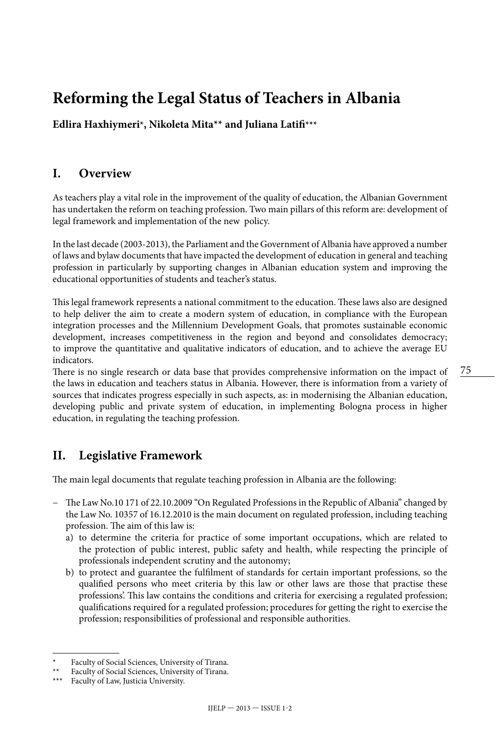# **Reforming the Legal Status of Teachers in Albania**

**Edlira Haxhiymeri\*, Nikoleta Mita\*\* and Juliana Latifi\*\*\***

## **I. Overview**

As teachers play a vital role in the improvement of the quality of education, the Albanian Government has undertaken the reform on teaching profession. Two main pillars of this reform are: development of legal framework and implementation of the new policy.

In the last decade (2003-2013), the Parliament and the Government of Albania have approved a number of laws and bylaw documents that have impacted the development of education in general and teaching profession in particularly by supporting changes in Albanian education system and improving the educational opportunities of students and teacher's status.

This legal framework represents a national commitment to the education. These laws also are designed to help deliver the aim to create a modern system of education, in compliance with the European integration processes and the Millennium Development Goals, that promotes sustainable economic development, increases competitiveness in the region and beyond and consolidates democracy; to improve the quantitative and qualitative indicators of education, and to achieve the average EU indicators.

There is no single research or data base that provides comprehensive information on the impact of the laws in education and teachers status in Albania. However, there is information from a variety of sources that indicates progress especially in such aspects, as: in modernising the Albanian education, developing public and private system of education, in implementing Bologna process in higher education, in regulating the teaching profession.

## **II. Legislative Framework**

The main legal documents that regulate teaching profession in Albania are the following:

- − The Law No.10 171 of 22.10.2009 "On Regulated Professions in the Republic of Albania" changed by the Law No. 10357 of 16.12.2010 is the main document on regulated profession, including teaching profession. The aim of this law is:
	- a) to determine the criteria for practice of some important occupations, which are related to the protection of public interest, public safety and health, while respecting the principle of professionals independent scrutiny and the autonomy;
	- b) to protect and guarantee the fulfilment of standards for certain important professions, so the qualified persons who meet criteria by this law or other laws are those that practise these professions'. This law contains the conditions and criteria for exercising a regulated profession; qualifications required for a regulated profession; procedures for getting the right to exercise the profession; responsibilities of professional and responsible authorities.

Faculty of Social Sciences, University of Tirana.

Faculty of Social Sciences, University of Tirana.

<sup>\*\*\*</sup> Faculty of Law, Justicia University.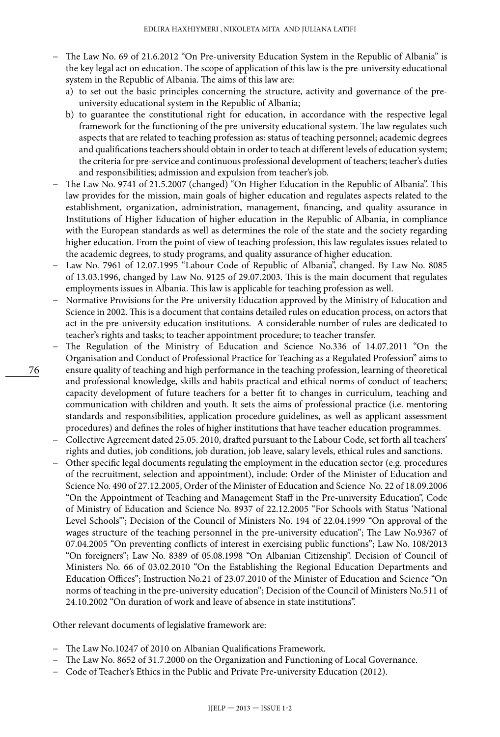- − The Law No. 69 of 21.6.2012 "On Pre-university Education System in the Republic of Albania" is the key legal act on education. The scope of application of this law is the pre-university educational system in the Republic of Albania. The aims of this law are:
	- a) to set out the basic principles concerning the structure, activity and governance of the preuniversity educational system in the Republic of Albania;
	- b) to guarantee the constitutional right for education, in accordance with the respective legal framework for the functioning of the pre-university educational system. The law regulates such aspects that are related to teaching profession as: status of teaching personnel; academic degrees and qualifications teachers should obtain in order to teach at different levels of education system; the criteria for pre-service and continuous professional development of teachers; teacher's duties and responsibilities; admission and expulsion from teacher's job.
- − The Law No. 9741 of 21.5.2007 (changed) "On Higher Education in the Republic of Albania". This law provides for the mission, main goals of higher education and regulates aspects related to the establishment, organization, administration, management, financing, and quality assurance in Institutions of Higher Education of higher education in the Republic of Albania, in compliance with the European standards as well as determines the role of the state and the society regarding higher education. From the point of view of teaching profession, this law regulates issues related to the academic degrees, to study programs, and quality assurance of higher education.
- − Law No. 7961 of 12.07.1995 "Labour Code of Republic of Albania", changed. By Law No. 8085 of 13.03.1996, changed by Law No. 9125 of 29.07.2003. This is the main document that regulates employments issues in Albania. This law is applicable for teaching profession as well.
- − Normative Provisions for the Pre-university Education approved by the Ministry of Education and Science in 2002. This is a document that contains detailed rules on education process, on actors that act in the pre-university education institutions. A considerable number of rules are dedicated to teacher's rights and tasks; to teacher appointment procedure; to teacher transfer.
- − The Regulation of the Ministry of Education and Science No.336 of 14.07.2011 "On the Organisation and Conduct of Professional Practice for Teaching as a Regulated Profession" aims to ensure quality of teaching and high performance in the teaching profession, learning of theoretical and professional knowledge, skills and habits practical and ethical norms of conduct of teachers; capacity development of future teachers for a better fit to changes in curriculum, teaching and communication with children and youth. It sets the aims of professional practice (i.e. mentoring standards and responsibilities, application procedure guidelines, as well as applicant assessment procedures) and defines the roles of higher institutions that have teacher education programmes.
- − Collective Agreement dated 25.05. 2010, drafted pursuant to the Labour Code, set forth all teachers' rights and duties, job conditions, job duration, job leave, salary levels, ethical rules and sanctions.
- − Other specific legal documents regulating the employment in the education sector (e.g. procedures of the recruitment, selection and appointment), include: Order of the Minister of Education and Science No. 490 of 27.12.2005, Order of the Minister of Education and Science No. 22 of 18.09.2006 "On the Appointment of Teaching and Management Staff in the Pre-university Education", Code of Ministry of Education and Science No. 8937 of 22.12.2005 "For Schools with Status 'National Level Schools'"; Decision of the Council of Ministers No. 194 of 22.04.1999 "On approval of the wages structure of the teaching personnel in the pre-university education"; The Law No.9367 of 07.04.2005 "On preventing conflicts of interest in exercising public functions"; Law No. 108/2013 "On foreigners"; Law No. 8389 of 05.08.1998 "On Albanian Citizenship". Decision of Council of Ministers No. 66 of 03.02.2010 "On the Establishing the Regional Education Departments and Education Offices"; Instruction No.21 of 23.07.2010 of the Minister of Education and Science "On norms of teaching in the pre-university education"; Decision of the Council of Ministers No.511 of 24.10.2002 "On duration of work and leave of absence in state institutions".

Other relevant documents of legislative framework are:

- − The Law No.10247 of 2010 on Albanian Qualifications Framework.
- − The Law No. 8652 of 31.7.2000 on the Organization and Functioning of Local Governance.
- − Code of Teacher's Ethics in the Public and Private Pre-university Education (2012).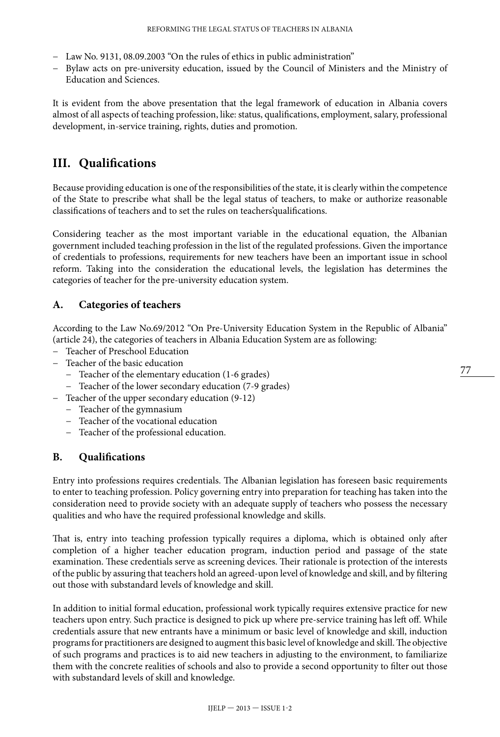- − Law No. 9131, 08.09.2003 "On the rules of ethics in public administration"
- − Bylaw acts on pre-university education, issued by the Council of Ministers and the Ministry of Education and Sciences.

It is evident from the above presentation that the legal framework of education in Albania covers almost of all aspects of teaching profession, like: status, qualifications, employment, salary, professional development, in-service training, rights, duties and promotion.

## **III. Qualifications**

Because providing education is one of the responsibilities of the state, it is clearly within the competence of the State to prescribe what shall be the legal status of teachers, to make or authorize reasonable classifications of teachers and to set the rules on teachers'qualifications.

Considering teacher as the most important variable in the educational equation, the Albanian government included teaching profession in the list of the regulated professions. Given the importance of credentials to professions, requirements for new teachers have been an important issue in school reform. Taking into the consideration the educational levels, the legislation has determines the categories of teacher for the pre-university education system.

#### **A. Categories of teachers**

According to the Law No.69/2012 "On Pre-University Education System in the Republic of Albania" (article 24), the categories of teachers in Albania Education System are as following:

- − Teacher of Preschool Education
- − Teacher of the basic education
	- − Teacher of the elementary education (1-6 grades)
	- − Teacher of the lower secondary education (7-9 grades)
- − Teacher of the upper secondary education (9-12)
	- − Teacher of the gymnasium
	- − Teacher of the vocational education
	- − Teacher of the professional education.

#### **B. Qualifications**

Entry into professions requires credentials. The Albanian legislation has foreseen basic requirements to enter to teaching profession. Policy governing entry into preparation for teaching has taken into the consideration need to provide society with an adequate supply of teachers who possess the necessary qualities and who have the required professional knowledge and skills.

That is, entry into teaching profession typically requires a diploma, which is obtained only after completion of a higher teacher education program, induction period and passage of the state examination. These credentials serve as screening devices. Their rationale is protection of the interests of the public by assuring that teachers hold an agreed-upon level of knowledge and skill, and by filtering out those with substandard levels of knowledge and skill.

In addition to initial formal education, professional work typically requires extensive practice for new teachers upon entry. Such practice is designed to pick up where pre-service training has left off. While credentials assure that new entrants have a minimum or basic level of knowledge and skill, induction programs for practitioners are designed to augment this basic level of knowledge and skill. The objective of such programs and practices is to aid new teachers in adjusting to the environment, to familiarize them with the concrete realities of schools and also to provide a second opportunity to filter out those with substandard levels of skill and knowledge.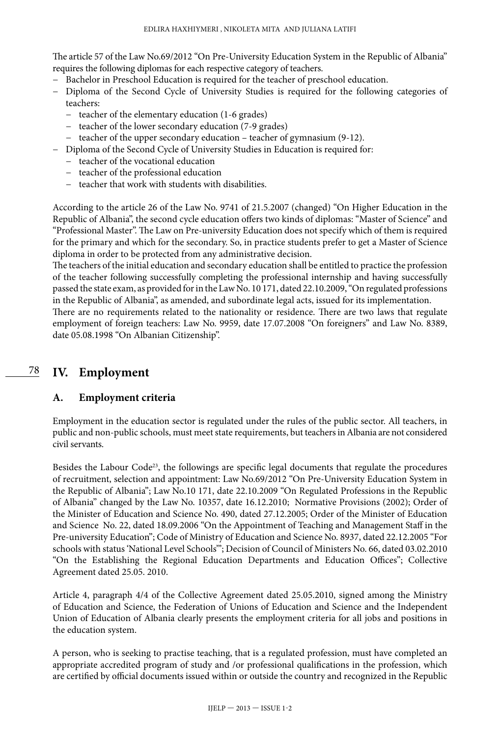The article 57 of the Law No.69/2012 "On Pre-University Education System in the Republic of Albania" requires the following diplomas for each respective category of teachers.

- − Bachelor in Preschool Education is required for the teacher of preschool education.
- − Diploma of the Second Cycle of University Studies is required for the following categories of teachers:
	- − teacher of the elementary education (1-6 grades)
	- − teacher of the lower secondary education (7-9 grades)
	- − teacher of the upper secondary education teacher of gymnasium (9-12).
- − Diploma of the Second Cycle of University Studies in Education is required for:
	- − teacher of the vocational education
	- − teacher of the professional education
	- − teacher that work with students with disabilities.

According to the article 26 of the Law No. 9741 of 21.5.2007 (changed) "On Higher Education in the Republic of Albania", the second cycle education offers two kinds of diplomas: "Master of Science" and "Professional Master". The Law on Pre-university Education does not specify which of them is required for the primary and which for the secondary. So, in practice students prefer to get a Master of Science diploma in order to be protected from any administrative decision.

The teachers of the initial education and secondary education shall be entitled to practice the profession of the teacher following successfully completing the professional internship and having successfully passed the state exam, as provided for in the Law No. 10 171, dated 22.10.2009, "On regulated professions in the Republic of Albania", as amended, and subordinate legal acts, issued for its implementation.

There are no requirements related to the nationality or residence. There are two laws that regulate employment of foreign teachers: Law No. 9959, date 17.07.2008 "On foreigners" and Law No. 8389, date 05.08.1998 "On Albanian Citizenship".

78

## **IV. Employment**

#### **A. Employment criteria**

Employment in the education sector is regulated under the rules of the public sector. All teachers, in public and non-public schools, must meet state requirements, but teachers in Albania are not considered civil servants.

Besides the Labour Code<sup>23</sup>, the followings are specific legal documents that regulate the procedures of recruitment, selection and appointment: Law No.69/2012 "On Pre-University Education System in the Republic of Albania"; Law No.10 171, date 22.10.2009 "On Regulated Professions in the Republic of Albania" changed by the Law No. 10357, date 16.12.2010; Normative Provisions (2002); Order of the Minister of Education and Science No. 490, dated 27.12.2005; Order of the Minister of Education and Science No. 22, dated 18.09.2006 "On the Appointment of Teaching and Management Staff in the Pre-university Education"; Code of Ministry of Education and Science No. 8937, dated 22.12.2005 "For schools with status 'National Level Schools'"; Decision of Council of Ministers No. 66, dated 03.02.2010 "On the Establishing the Regional Education Departments and Education Offices"; Collective Agreement dated 25.05. 2010.

Article 4, paragraph 4/4 of the Collective Agreement dated 25.05.2010, signed among the Ministry of Education and Science, the Federation of Unions of Education and Science and the Independent Union of Education of Albania clearly presents the employment criteria for all jobs and positions in the education system.

A person, who is seeking to practise teaching, that is a regulated profession, must have completed an appropriate accredited program of study and /or professional qualifications in the profession, which are certified by official documents issued within or outside the country and recognized in the Republic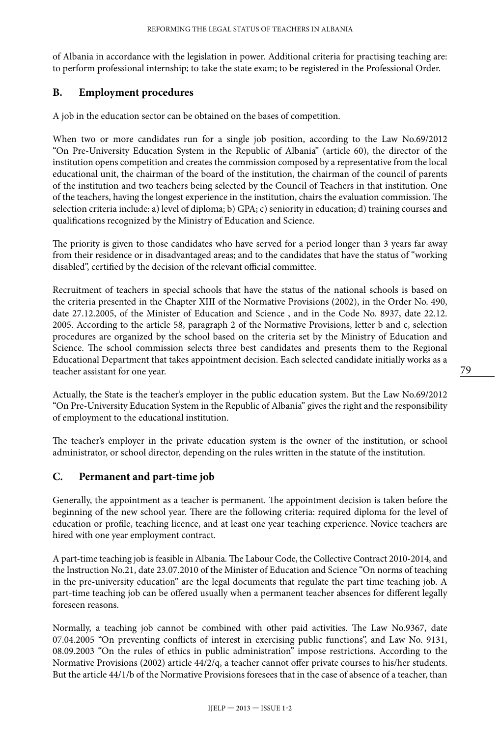of Albania in accordance with the legislation in power. Additional criteria for practising teaching are: to perform professional internship; to take the state exam; to be registered in the Professional Order.

#### **B. Employment procedures**

A job in the education sector can be obtained on the bases of competition.

When two or more candidates run for a single job position, according to the Law No.69/2012 "On Pre-University Education System in the Republic of Albania" (article 60), the director of the institution opens competition and creates the commission composed by a representative from the local educational unit, the chairman of the board of the institution, the chairman of the council of parents of the institution and two teachers being selected by the Council of Teachers in that institution. One of the teachers, having the longest experience in the institution, chairs the evaluation commission. The selection criteria include: a) level of diploma; b) GPA; c) seniority in education; d) training courses and qualifications recognized by the Ministry of Education and Science.

The priority is given to those candidates who have served for a period longer than 3 years far away from their residence or in disadvantaged areas; and to the candidates that have the status of "working disabled", certified by the decision of the relevant official committee.

Recruitment of teachers in special schools that have the status of the national schools is based on the criteria presented in the Chapter XIII of the Normative Provisions (2002), in the Order No. 490, date 27.12.2005, of the Minister of Education and Science , and in the Code No. 8937, date 22.12. 2005. According to the article 58, paragraph 2 of the Normative Provisions, letter b and c, selection procedures are organized by the school based on the criteria set by the Ministry of Education and Science. The school commission selects three best candidates and presents them to the Regional Educational Department that takes appointment decision. Each selected candidate initially works as a teacher assistant for one year.

Actually, the State is the teacher's employer in the public education system. But the Law No.69/2012 "On Pre-University Education System in the Republic of Albania" gives the right and the responsibility of employment to the educational institution.

The teacher's employer in the private education system is the owner of the institution, or school administrator, or school director, depending on the rules written in the statute of the institution.

#### **C. Permanent and part-time job**

Generally, the appointment as a teacher is permanent. The appointment decision is taken before the beginning of the new school year. There are the following criteria: required diploma for the level of education or profile, teaching licence, and at least one year teaching experience. Novice teachers are hired with one year employment contract.

A part-time teaching job is feasible in Albania. The Labour Code, the Collective Contract 2010-2014, and the Instruction No.21, date 23.07.2010 of the Minister of Education and Science "On norms of teaching in the pre-university education" are the legal documents that regulate the part time teaching job. A part-time teaching job can be offered usually when a permanent teacher absences for different legally foreseen reasons.

Normally, a teaching job cannot be combined with other paid activities. The Law No.9367, date 07.04.2005 "On preventing conflicts of interest in exercising public functions", and Law No. 9131, 08.09.2003 "On the rules of ethics in public administration" impose restrictions. According to the Normative Provisions (2002) article 44/2/q, a teacher cannot offer private courses to his/her students. But the article 44/1/b of the Normative Provisions foresees that in the case of absence of a teacher, than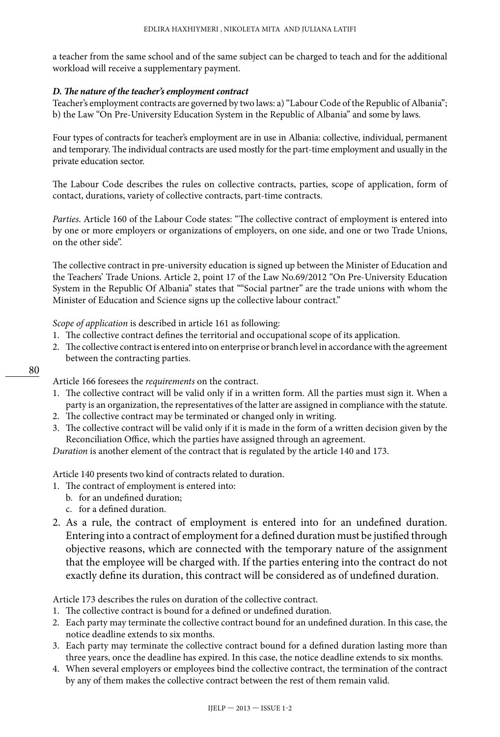a teacher from the same school and of the same subject can be charged to teach and for the additional workload will receive a supplementary payment.

#### *D. The nature of the teacher's employment contract*

Teacher's employment contracts are governed by two laws: a) "Labour Code of the Republic of Albania"; b) the Law "On Pre-University Education System in the Republic of Albania" and some by laws.

Four types of contracts for teacher's employment are in use in Albania: collective, individual, permanent and temporary. The individual contracts are used mostly for the part-time employment and usually in the private education sector.

The Labour Code describes the rules on collective contracts, parties, scope of application, form of contact, durations, variety of collective contracts, part-time contracts.

*Parties*. Article 160 of the Labour Code states: "The collective contract of employment is entered into by one or more employers or organizations of employers, on one side, and one or two Trade Unions, on the other side".

The collective contract in pre-university education is signed up between the Minister of Education and the Teachers' Trade Unions. Article 2, point 17 of the Law No.69/2012 "On Pre-University Education System in the Republic Of Albania" states that ""Social partner" are the trade unions with whom the Minister of Education and Science signs up the collective labour contract."

*Scope of application* is described in article 161 as following:

- 1. The collective contract defines the territorial and occupational scope of its application.
- 2. The collective contract is entered into on enterprise or branch level in accordance with the agreement between the contracting parties.
- 80

Article 166 foresees the *requirements* on the contract.

- 1. The collective contract will be valid only if in a written form. All the parties must sign it. When a party is an organization, the representatives of the latter are assigned in compliance with the statute.
- 2. The collective contract may be terminated or changed only in writing.
- 3. The collective contract will be valid only if it is made in the form of a written decision given by the Reconciliation Office, which the parties have assigned through an agreement.

*Duration* is another element of the contract that is regulated by the article 140 and 173.

Article 140 presents two kind of contracts related to duration.

- 1. The contract of employment is entered into:
	- b. for an undefined duration;
	- c. for a defined duration.
- 2. As a rule, the contract of employment is entered into for an undefined duration. Entering into a contract of employment for a defined duration must be justified through objective reasons, which are connected with the temporary nature of the assignment that the employee will be charged with. If the parties entering into the contract do not exactly define its duration, this contract will be considered as of undefined duration.

#### Article 173 describes the rules on duration of the collective contract.

- 1. The collective contract is bound for a defined or undefined duration.
- 2. Each party may terminate the collective contract bound for an undefined duration. In this case, the notice deadline extends to six months.
- 3. Each party may terminate the collective contract bound for a defined duration lasting more than three years, once the deadline has expired. In this case, the notice deadline extends to six months.
- 4. When several employers or employees bind the collective contract, the termination of the contract by any of them makes the collective contract between the rest of them remain valid.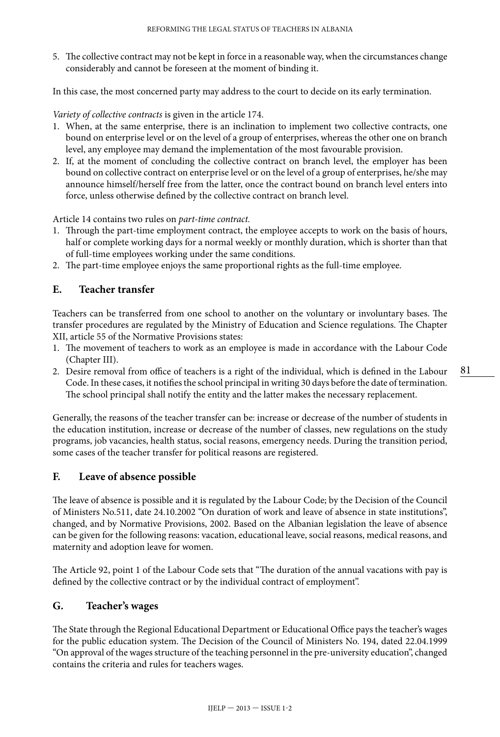5. The collective contract may not be kept in force in a reasonable way, when the circumstances change considerably and cannot be foreseen at the moment of binding it.

In this case, the most concerned party may address to the court to decide on its early termination.

*Variety of collective contracts* is given in the article 174.

- 1. When, at the same enterprise, there is an inclination to implement two collective contracts, one bound on enterprise level or on the level of a group of enterprises, whereas the other one on branch level, any employee may demand the implementation of the most favourable provision.
- 2. If, at the moment of concluding the collective contract on branch level, the employer has been bound on collective contract on enterprise level or on the level of a group of enterprises, he/she may announce himself/herself free from the latter, once the contract bound on branch level enters into force, unless otherwise defined by the collective contract on branch level.

Article 14 contains two rules on *part-time contract.*

- 1. Through the part-time employment contract, the employee accepts to work on the basis of hours, half or complete working days for a normal weekly or monthly duration, which is shorter than that of full-time employees working under the same conditions.
- 2. The part-time employee enjoys the same proportional rights as the full-time employee.

#### **E. Teacher transfer**

Teachers can be transferred from one school to another on the voluntary or involuntary bases. The transfer procedures are regulated by the Ministry of Education and Science regulations. The Chapter XII, article 55 of the Normative Provisions states:

- 1. The movement of teachers to work as an employee is made in accordance with the Labour Code (Chapter III).
- 2. Desire removal from office of teachers is a right of the individual, which is defined in the Labour Code. In these cases, it notifies the school principal in writing 30 days before the date of termination. The school principal shall notify the entity and the latter makes the necessary replacement.

Generally, the reasons of the teacher transfer can be: increase or decrease of the number of students in the education institution, increase or decrease of the number of classes, new regulations on the study programs, job vacancies, health status, social reasons, emergency needs. During the transition period, some cases of the teacher transfer for political reasons are registered.

#### **F. Leave of absence possible**

The leave of absence is possible and it is regulated by the Labour Code; by the Decision of the Council of Ministers No.511, date 24.10.2002 "On duration of work and leave of absence in state institutions", changed, and by Normative Provisions, 2002. Based on the Albanian legislation the leave of absence can be given for the following reasons: vacation, educational leave, social reasons, medical reasons, and maternity and adoption leave for women.

The Article 92, point 1 of the Labour Code sets that "The duration of the annual vacations with pay is defined by the collective contract or by the individual contract of employment".

#### **G. Teacher's wages**

The State through the Regional Educational Department or Educational Office pays the teacher's wages for the public education system. The Decision of the Council of Ministers No. 194, dated 22.04.1999 "On approval of the wages structure of the teaching personnel in the pre-university education", changed contains the criteria and rules for teachers wages.

81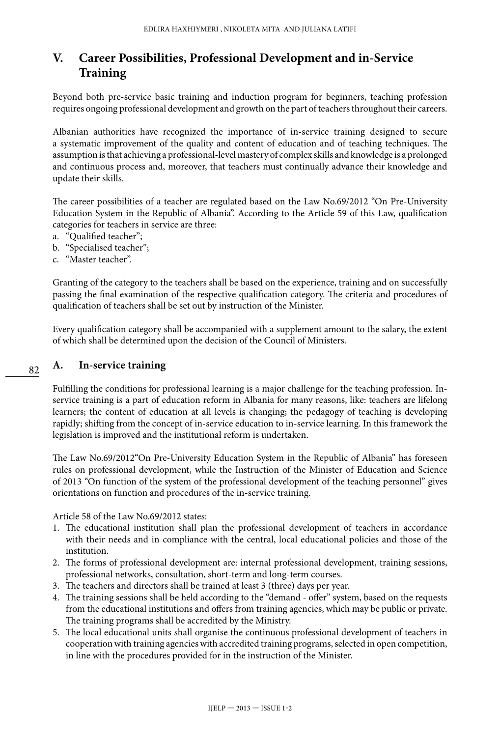## **V. Career Possibilities, Professional Development and in-Service Training**

Beyond both pre-service basic training and induction program for beginners, teaching profession requires ongoing professional development and growth on the part of teachers throughout their careers.

Albanian authorities have recognized the importance of in-service training designed to secure a systematic improvement of the quality and content of education and of teaching techniques. The assumption is that achieving a professional-level mastery of complex skills and knowledge is a prolonged and continuous process and, moreover, that teachers must continually advance their knowledge and update their skills.

The career possibilities of a teacher are regulated based on the Law No.69/2012 "On Pre-University Education System in the Republic of Albania". According to the Article 59 of this Law, qualification categories for teachers in service are three:

- a. "Qualified teacher";
- b. "Specialised teacher";
- c. "Master teacher".

Granting of the category to the teachers shall be based on the experience, training and on successfully passing the final examination of the respective qualification category. The criteria and procedures of qualification of teachers shall be set out by instruction of the Minister.

Every qualification category shall be accompanied with a supplement amount to the salary, the extent of which shall be determined upon the decision of the Council of Ministers.

#### **A. In-service training**

Fulfilling the conditions for professional learning is a major challenge for the teaching profession. Inservice training is a part of education reform in Albania for many reasons, like: teachers are lifelong learners; the content of education at all levels is changing; the pedagogy of teaching is developing rapidly; shifting from the concept of in-service education to in-service learning. In this framework the legislation is improved and the institutional reform is undertaken.

The Law No.69/2012"On Pre-University Education System in the Republic of Albania" has foreseen rules on professional development, while the Instruction of the Minister of Education and Science of 2013 "On function of the system of the professional development of the teaching personnel" gives orientations on function and procedures of the in-service training.

Article 58 of the Law No.69/2012 states:

- 1. The educational institution shall plan the professional development of teachers in accordance with their needs and in compliance with the central, local educational policies and those of the institution.
- 2. The forms of professional development are: internal professional development, training sessions, professional networks, consultation, short-term and long-term courses.
- 3. The teachers and directors shall be trained at least 3 (three) days per year.
- 4. The training sessions shall be held according to the "demand offer" system, based on the requests from the educational institutions and offers from training agencies, which may be public or private. The training programs shall be accredited by the Ministry.
- 5. The local educational units shall organise the continuous professional development of teachers in cooperation with training agencies with accredited training programs, selected in open competition, in line with the procedures provided for in the instruction of the Minister.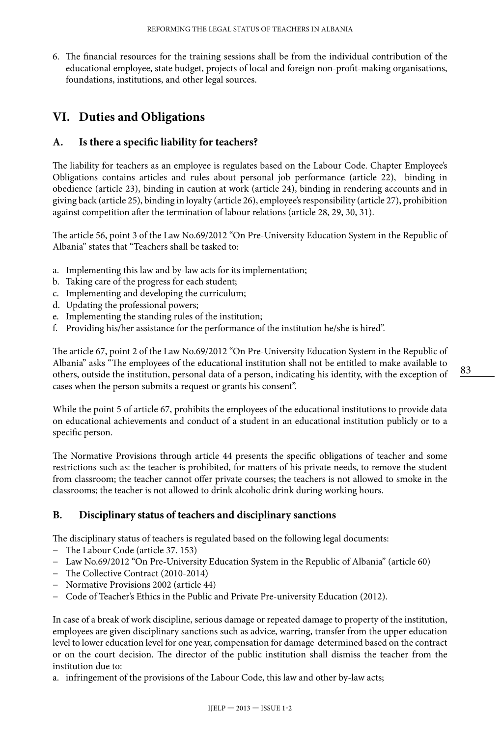6. The financial resources for the training sessions shall be from the individual contribution of the educational employee, state budget, projects of local and foreign non-profit-making organisations, foundations, institutions, and other legal sources.

## **VI. Duties and Obligations**

#### **A. Is there a specific liability for teachers?**

The liability for teachers as an employee is regulates based on the Labour Code. Chapter Employee's Obligations contains articles and rules about personal job performance (article 22), binding in obedience (article 23), binding in caution at work (article 24), binding in rendering accounts and in giving back (article 25), binding in loyalty (article 26), employee's responsibility (article 27), prohibition against competition after the termination of labour relations (article 28, 29, 30, 31).

The article 56, point 3 of the Law No.69/2012 "On Pre-University Education System in the Republic of Albania" states that "Teachers shall be tasked to:

- a. Implementing this law and by-law acts for its implementation;
- b. Taking care of the progress for each student;
- c. Implementing and developing the curriculum;
- d. Updating the professional powers;
- e. Implementing the standing rules of the institution;
- f. Providing his/her assistance for the performance of the institution he/she is hired".

The article 67, point 2 of the Law No.69/2012 "On Pre-University Education System in the Republic of Albania" asks "The employees of the educational institution shall not be entitled to make available to others, outside the institution, personal data of a person, indicating his identity, with the exception of cases when the person submits a request or grants his consent".

While the point 5 of article 67, prohibits the employees of the educational institutions to provide data on educational achievements and conduct of a student in an educational institution publicly or to a specific person.

The Normative Provisions through article 44 presents the specific obligations of teacher and some restrictions such as: the teacher is prohibited, for matters of his private needs, to remove the student from classroom; the teacher cannot offer private courses; the teachers is not allowed to smoke in the classrooms; the teacher is not allowed to drink alcoholic drink during working hours.

#### **B. Disciplinary status of teachers and disciplinary sanctions**

The disciplinary status of teachers is regulated based on the following legal documents:

- − The Labour Code (article 37. 153)
- − Law No.69/2012 "On Pre-University Education System in the Republic of Albania" (article 60)
- − The Collective Contract (2010-2014)
- − Normative Provisions 2002 (article 44)
- − Code of Teacher's Ethics in the Public and Private Pre-university Education (2012).

In case of a break of work discipline, serious damage or repeated damage to property of the institution, employees are given disciplinary sanctions such as advice, warring, transfer from the upper education level to lower education level for one year, compensation for damage determined based on the contract or on the court decision. The director of the public institution shall dismiss the teacher from the institution due to:

a. infringement of the provisions of the Labour Code, this law and other by-law acts;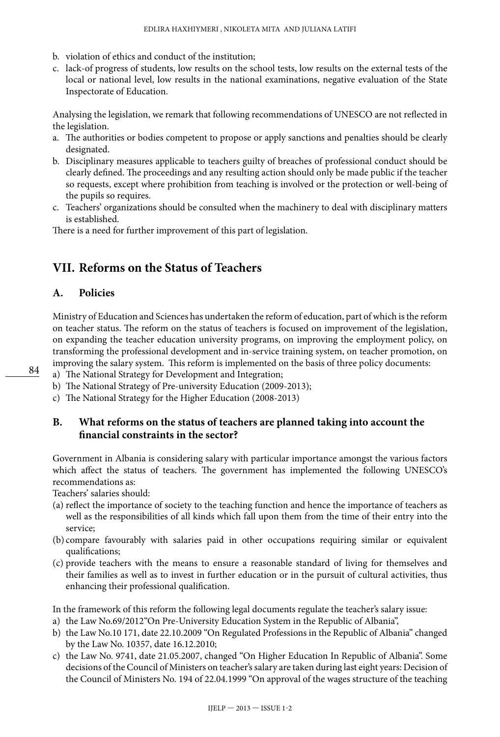- b. violation of ethics and conduct of the institution;
- c. lack-of progress of students, low results on the school tests, low results on the external tests of the local or national level, low results in the national examinations, negative evaluation of the State Inspectorate of Education.

Analysing the legislation, we remark that following recommendations of UNESCO are not reflected in the legislation.

- a. The authorities or bodies competent to propose or apply sanctions and penalties should be clearly designated.
- b. Disciplinary measures applicable to teachers guilty of breaches of professional conduct should be clearly defined. The proceedings and any resulting action should only be made public if the teacher so requests, except where prohibition from teaching is involved or the protection or well-being of the pupils so requires.
- c. Teachers' organizations should be consulted when the machinery to deal with disciplinary matters is established.

There is a need for further improvement of this part of legislation.

## **VII. Reforms on the Status of Teachers**

#### **A. Policies**

Ministry of Education and Sciences has undertaken the reform of education, part of which is the reform on teacher status. The reform on the status of teachers is focused on improvement of the legislation, on expanding the teacher education university programs, on improving the employment policy, on transforming the professional development and in-service training system, on teacher promotion, on improving the salary system. This reform is implemented on the basis of three policy documents:

- a) The National Strategy for Development and Integration;
- b) The National Strategy of Pre-university Education (2009-2013);
- c) The National Strategy for the Higher Education (2008-2013)

#### **B. What reforms on the status of teachers are planned taking into account the financial constraints in the sector?**

Government in Albania is considering salary with particular importance amongst the various factors which affect the status of teachers. The government has implemented the following UNESCO's recommendations as:

Teachers' salaries should:

- (a) reflect the importance of society to the teaching function and hence the importance of teachers as well as the responsibilities of all kinds which fall upon them from the time of their entry into the service;
- (b) compare favourably with salaries paid in other occupations requiring similar or equivalent qualifications;
- (c) provide teachers with the means to ensure a reasonable standard of living for themselves and their families as well as to invest in further education or in the pursuit of cultural activities, thus enhancing their professional qualification.

In the framework of this reform the following legal documents regulate the teacher's salary issue:

- a) the Law No.69/2012"On Pre-University Education System in the Republic of Albania",
- b) the Law No.10 171, date 22.10.2009 "On Regulated Professions in the Republic of Albania" changed by the Law No. 10357, date 16.12.2010;
- c) the Law No. 9741, date 21.05.2007, changed "On Higher Education In Republic of Albania". Some decisions of the Council of Ministers on teacher's salary are taken during last eight years: Decision of the Council of Ministers No. 194 of 22.04.1999 "On approval of the wages structure of the teaching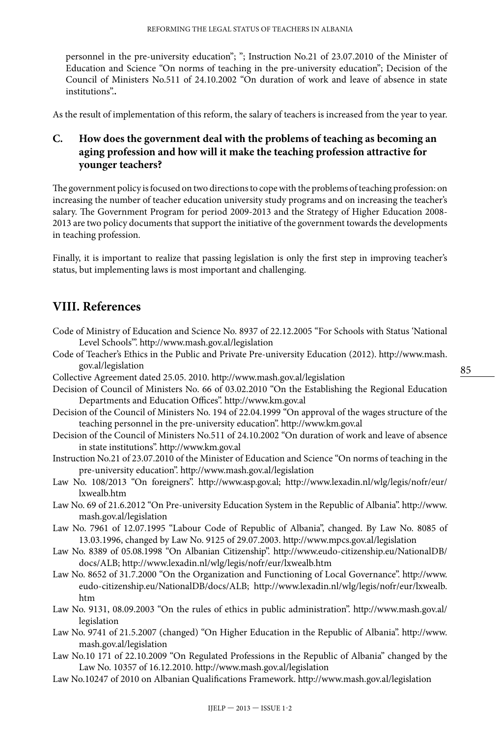personnel in the pre-university education"; "; Instruction No.21 of 23.07.2010 of the Minister of Education and Science "On norms of teaching in the pre-university education"; Decision of the Council of Ministers No.511 of 24.10.2002 "On duration of work and leave of absence in state institutions".**.** 

As the result of implementation of this reform, the salary of teachers is increased from the year to year.

#### **C. How does the government deal with the problems of teaching as becoming an aging profession and how will it make the teaching profession attractive for younger teachers?**

The government policy is focused on two directions to cope with the problems of teaching profession: on increasing the number of teacher education university study programs and on increasing the teacher's salary. The Government Program for period 2009-2013 and the Strategy of Higher Education 2008- 2013 are two policy documents that support the initiative of the government towards the developments in teaching profession.

Finally, it is important to realize that passing legislation is only the first step in improving teacher's status, but implementing laws is most important and challenging.

## **VIII. References**

- Code of Ministry of Education and Science No. 8937 of 22.12.2005 "For Schools with Status 'National Level Schools'".<http://www.mash.gov.al/legislation>
- Code of Teacher's Ethics in the Public and Private Pre-university Education (2012). [http://www.mash.](http://www.mash.gov.al/legislation) [gov.al/legislation](http://www.mash.gov.al/legislation)
- Collective Agreement dated 25.05. 2010. <http://www.mash.gov.al/legislation>
- Decision of Council of Ministers No. 66 of 03.02.2010 "On the Establishing the Regional Education Departments and Education Offices". http://www.km.gov.al
- Decision of the Council of Ministers No. 194 of 22.04.1999 "On approval of the wages structure of the teaching personnel in the pre-university education". http://www.km.gov.al
- Decision of the Council of Ministers No.511 of 24.10.2002 "On duration of work and leave of absence in state institutions". http://www.km.gov.al
- Instruction No.21 of 23.07.2010 of the Minister of Education and Science "On norms of teaching in the pre-university education".<http://www.mash.gov.al/legislation>
- Law No. 108/2013 "On foreigners". <http://www.asp.gov.al>; [http://www.lexadin.nl/wlg/legis/nofr/eur/](http://www.lexadin.nl/wlg/legis/nofr/eur/lxwealb.htm) [lxwealb.htm](http://www.lexadin.nl/wlg/legis/nofr/eur/lxwealb.htm)
- Law No. 69 of 21.6.2012 "On Pre-university Education System in the Republic of Albania". [http://www.](http://www.mash.gov.al/legislation) [mash.gov.al/legislation](http://www.mash.gov.al/legislation)
- Law No. 7961 of 12.07.1995 "Labour Code of Republic of Albania", changed. By Law No. 8085 of 13.03.1996, changed by Law No. 9125 of 29.07.2003. http://www.mpcs.gov.al/legislation
- Law No. 8389 of 05.08.1998 "On Albanian Citizenship". [http://www.eudo-citizenship.eu/NationalDB/](http://www.eudo-citizenship.eu/NationalDB/docs/ALB) [docs/ALB;](http://www.eudo-citizenship.eu/NationalDB/docs/ALB) <http://www.lexadin.nl/wlg/legis/nofr/eur/lxwealb.htm>
- Law No. 8652 of 31.7.2000 "On the Organization and Functioning of Local Governance". [http://www.](http://www.eudo-citizenship.eu/NationalDB/docs/ALB) [eudo-citizenship.eu/NationalDB/docs/ALB](http://www.eudo-citizenship.eu/NationalDB/docs/ALB); [http://www.lexadin.nl/wlg/legis/nofr/eur/lxwealb.](http://www.lexadin.nl/wlg/legis/nofr/eur/lxwealb.htm) [htm](http://www.lexadin.nl/wlg/legis/nofr/eur/lxwealb.htm)
- Law No. 9131, 08.09.2003 "On the rules of ethics in public administration". http://www.mash.gov.al/ legislation
- Law No. 9741 of 21.5.2007 (changed) "On Higher Education in the Republic of Albania". [http://www.](http://www.mash.gov.al/legislation) [mash.gov.al/legislation](http://www.mash.gov.al/legislation)
- Law No.10 171 of 22.10.2009 "On Regulated Professions in the Republic of Albania" changed by the Law No. 10357 of 16.12.2010.<http://www.mash.gov.al/legislation>
- Law No.10247 of 2010 on Albanian Qualifications Framework.<http://www.mash.gov.al/legislation>